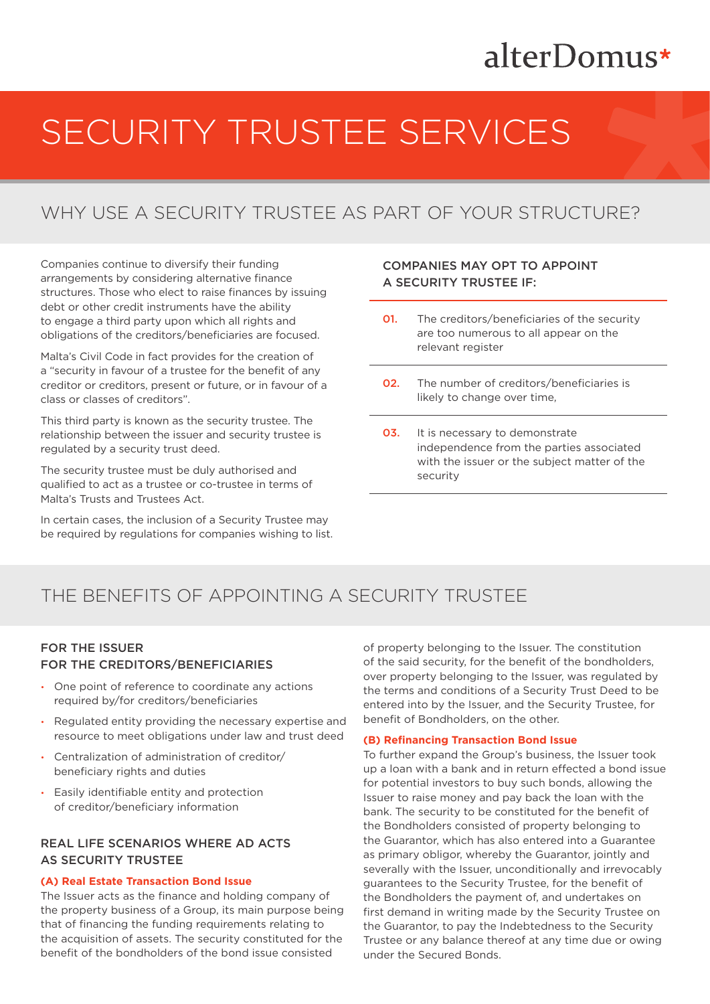## alterDomus\*

# SECURITY TRUSTEE SERVICES

### WHY USE A SECURITY TRUSTEE AS PART OF YOUR STRUCTURE?

Companies continue to diversify their funding arrangements by considering alternative finance structures. Those who elect to raise finances by issuing debt or other credit instruments have the ability to engage a third party upon which all rights and obligations of the creditors/beneficiaries are focused.

Malta's Civil Code in fact provides for the creation of a "security in favour of a trustee for the benefit of any creditor or creditors, present or future, or in favour of a class or classes of creditors".

This third party is known as the security trustee. The relationship between the issuer and security trustee is regulated by a security trust deed.

The security trustee must be duly authorised and qualified to act as a trustee or co-trustee in terms of Malta's Trusts and Trustees Act.

In certain cases, the inclusion of a Security Trustee may be required by regulations for companies wishing to list.

### COMPANIES MAY OPT TO APPOINT A SECURITY TRUSTEE IF:

- **01.** The creditors/beneficiaries of the security are too numerous to all appear on the relevant register
- **02.** The number of creditors/beneficiaries is likely to change over time,
- **03.** It is necessary to demonstrate independence from the parties associated with the issuer or the subject matter of the security

### THE BENEFITS OF APPOINTING A SECURITY TRUSTEE

### FOR THE ISSUER FOR THE CREDITORS/BENEFICIARIES

- One point of reference to coordinate any actions required by/for creditors/beneficiaries
- Regulated entity providing the necessary expertise and resource to meet obligations under law and trust deed
- Centralization of administration of creditor/ beneficiary rights and duties
- Easily identifiable entity and protection of creditor/beneficiary information

### REAL LIFE SCENARIOS WHERE AD ACTS AS SECURITY TRUSTEE

### **(A) Real Estate Transaction Bond Issue**

The Issuer acts as the finance and holding company of the property business of a Group, its main purpose being that of financing the funding requirements relating to the acquisition of assets. The security constituted for the benefit of the bondholders of the bond issue consisted

of property belonging to the Issuer. The constitution of the said security, for the benefit of the bondholders, over property belonging to the Issuer, was regulated by the terms and conditions of a Security Trust Deed to be entered into by the Issuer, and the Security Trustee, for benefit of Bondholders, on the other.

#### **(B) Refinancing Transaction Bond Issue**

To further expand the Group's business, the Issuer took up a loan with a bank and in return effected a bond issue for potential investors to buy such bonds, allowing the Issuer to raise money and pay back the loan with the bank. The security to be constituted for the benefit of the Bondholders consisted of property belonging to the Guarantor, which has also entered into a Guarantee as primary obligor, whereby the Guarantor, jointly and severally with the Issuer, unconditionally and irrevocably guarantees to the Security Trustee, for the benefit of the Bondholders the payment of, and undertakes on first demand in writing made by the Security Trustee on the Guarantor, to pay the Indebtedness to the Security Trustee or any balance thereof at any time due or owing under the Secured Bonds.